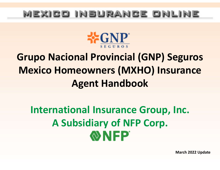## mexico insurance online



## Grupo Nacional Provincial (GNP) Seguros Mexico Homeowners (MXHO) Insurance Agent Handbook

# International Insurance Group, Inc. A Subsidiary of NFP Corp. **NHP**

March 2022 Update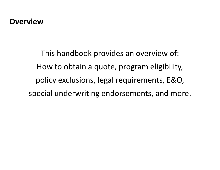#### **Overview**

This handbook provides an overview of: How to obtain a quote, program eligibility, policy exclusions, legal requirements, E&O, special underwriting endorsements, and more.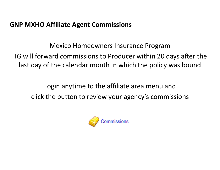#### GNP MXHO Affiliate Agent Commissions

#### Mexico Homeowners Insurance Program

IIG will forward commissions to Producer within 20 days after the last day of the calendar month in which the policy was bound

Login anytime to the affiliate area menu and click the button to review your agency's commissions

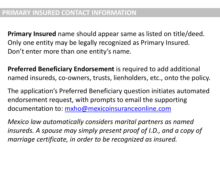Primary Insured name should appear same as listed on title/deed. Only one entity may be legally recognized as Primary Insured. Don't enter more than one entity's name.

Preferred Beneficiary Endorsement is required to add additional named insureds, co-owners, trusts, lienholders, etc., onto the policy.

The application's Preferred Beneficiary question initiates automated endorsement request, with prompts to email the supporting documentation to: mxho@mexicoinsuranceonline.com

Mexico law automatically considers marital partners as named insureds. A spouse may simply present proof of I.D., and a copy of marriage certificate, in order to be recognized as insured.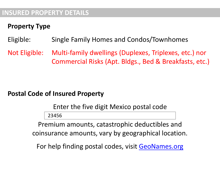#### INSURED PROPERTY DETAILS

#### Property Type

#### Eligible: Single Family Homes and Condos/Townhomes

ISURED PROPERTY DETAILS<br>Property Type<br>Eligible: Single Family Homes and Condos/Townhomes<br>Not Eligible: Multi-family dwellings (Duplexes, Triplexes, etc.) nor<br>Commercial Risks (Apt. Bldgs., Bed & Breakfasts, etc.) Commercial Risks (Apt. Bldgs., Bed & Breakfasts, etc.)

#### Postal Code of Insured Property

Enter the five digit Mexico postal code

23456

Premium amounts, catastrophic deductibles and coinsurance amounts, vary by geographical location.

For help finding postal codes, visit GeoNames.org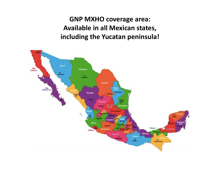GNP MXHO coverage area: Available in all Mexican states, including the Yucatan peninsula!

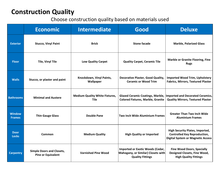#### Construction Quality

#### Choose construction quality based on materials used

| <b>Construction Quality</b><br>Choose construction quality based on materials used |                                                               |                                               |                                                                                                          |                                                                                                                           |  |
|------------------------------------------------------------------------------------|---------------------------------------------------------------|-----------------------------------------------|----------------------------------------------------------------------------------------------------------|---------------------------------------------------------------------------------------------------------------------------|--|
|                                                                                    | <b>Economic</b>                                               | <b>Intermediate</b>                           | Good                                                                                                     | <b>Deluxe</b>                                                                                                             |  |
| <b>Exterior</b>                                                                    | <b>Stucco, Vinyl Paint</b>                                    | <b>Brick</b>                                  | <b>Stone facade</b>                                                                                      | <b>Marble, Polarized Glass</b>                                                                                            |  |
| <b>Floor</b>                                                                       | <b>Tile, Vinyl Tile</b>                                       | <b>Low Quality Carpet</b>                     | <b>Quality Carpet, Ceramic Tile</b>                                                                      | <b>Marble or Granite Flooring, Fine</b><br><b>Rugs</b>                                                                    |  |
| <b>Walls</b>                                                                       | Stucco, or plaster and paint                                  | Knockdown, Vinyl Paints,<br>Wallpaper         | <b>Decorative Plaster, Good Quality,</b><br><b>Ceramic or Wood Trim</b>                                  | <b>Imported Wood Trim, Upholstery</b><br><b>Fabrics, Mirrors, Textured Plaster</b>                                        |  |
| <b>Bathrooms</b>                                                                   | <b>Minimal and Austere</b>                                    | <b>Medium Quality White Fixtures,</b><br>Tile | <b>Colored Fixtures, Marble, Granite</b>                                                                 | Glazed Ceramic Coatings, Marble, Imported and Decorated Ceramics,<br><b>Quality Mirrors, Textured Plaster</b>             |  |
| <b>Window</b><br><b>Frames</b>                                                     | <b>Thin Gauge Glass</b>                                       | <b>Double Pane</b>                            | Two Inch Wide Aluminium Frames                                                                           | <b>Greater Than Two Inch Wide</b><br><b>Aluminium Frames</b>                                                              |  |
| <b>Door</b><br><b>Locks</b>                                                        | Common                                                        | <b>Medium Quality</b>                         | <b>High Quality or Imported</b>                                                                          | <b>High Security Plates, Imported,</b><br><b>Controlled Key Reproduction,</b><br><b>Digital System or Magnetic Access</b> |  |
| <b>Carpentry</b>                                                                   | <b>Simple Doors and Closets,</b><br><b>Pine or Equivalent</b> | <b>Varnished Pine Wood</b>                    | <b>Imported or Exotic Woods (Cedar,</b><br>Mahogany, or Similar) Closets with<br><b>Quality Fittings</b> | <b>Fine Wood Doors, Specially</b><br>Designed Closets, Fine Wood,<br><b>High Quality Fittings</b>                         |  |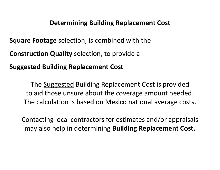#### Determining Building Replacement Cost

**Square Footage** selection, is combined with the

Construction Quality selection, to provide a

Suggested Building Replacement Cost

Determining Building Replacement Cost<br>
Footage selection, is combined with the<br>
uction Quality selection, to provide a<br>
ted Building Replacement Cost<br>
The Suggested Building Replacement Cost is provided<br>
b aid those unsure to aid those unsure about the coverage amount needed. The calculation is based on Mexico national average costs.

Contacting local contractors for estimates and/or appraisals may also help in determining Building Replacement Cost.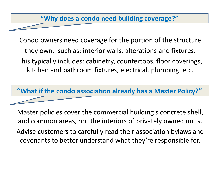#### "Why does a condo need building coverage?"

Condo owners need coverage for the portion of the structure they own, such as: interior walls, alterations and fixtures. This typically includes: cabinetry, countertops, floor coverings, kitchen and bathroom fixtures, electrical, plumbing, etc.

"What if the condo association already has a Master Policy?"

Master policies cover the commercial building's concrete shell, and common areas, not the interiors of privately owned units. Advise customers to carefully read their association bylaws and covenants to better understand what they're responsible for.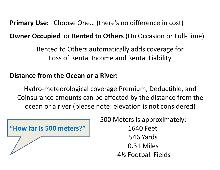Primary Use: Choose One… (there's no difference in cost)

Owner Occupied or Rented to Others (On Occasion or Full-Time)

Rented to Others automatically adds coverage for Loss of Rental Income and Rental Liability

#### Distance from the Ocean or a River:

Hydro-meteorological coverage Premium, Deductible, and Coinsurance amounts can be affected by the distance from the ocean or a river (please note: elevation is not considered)

500 Meters is approximately: "How far is 500 meters?" 1640 Feet 546 Yards 0.31 Miles 4½ Football Fields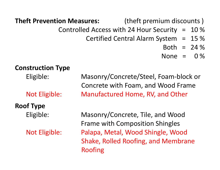Theft Prevention Measures: (theft premium discounts )

- 
- Controlled Access with 24 Hour Security = 10 %
	- Certified Central Alarm System = 15 %
		- Both =  $24%$
		- None =  $0\%$

#### Construction Type

## Roof Type

**Eligible:** Masonrophylom Measures: The end of the premium discounts of the the controlled Access with 24 Hour Security = 10 %<br>
Certified Central Alarm System = 15 %<br>
Both = 24 %<br>
Soth = 24 %<br>
Soth = 0 %<br>
Struction Type<br>
E Concrete with Foam, and Wood Frame Controlled Access with 24 Hour Security = 10 %<br>
Certified Central Alarm System = 15 %<br>
Both = 24 %<br>
Mone = 0 %<br>
Struction Type<br>
Masonry/Concrete/Steel, Foam-block or<br>
Concrete with Foam, and Wood Frame<br>
Not Eligible: Manuf Both = 24%<br>
Struction Type<br>
Eligible: Masonry/Concrete/Steel, Foam-block or<br>
Concrete with Foam, and Wood Frame<br>
Not Eligible: Masonry/Concrete, Tile, and Wood<br>
Frame with Composition Shingles<br>
Not Eligible: Palapa, Metal,

Frame with Composition Shingles **Eligible:** Masonry/Concrete/Steel, Foam-block or<br>
Concrete with Foam, and Wood Frame<br>
Not Eligible: Manufactured Home, RV, and Other<br> **F Type**<br>
Eligible: Masonry/Concrete, Tile, and Wood<br>
Frame with Composition Shingles<br> Shake, Rolled Roofing, and Membrane Roofing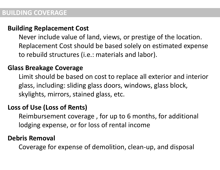#### BUILDING COVERAGE

#### Building Replacement Cost

Never include value of land, views, or prestige of the location. Replacement Cost should be based solely on estimated expense to rebuild structures (i.e.: materials and labor).

#### Glass Breakage Coverage

Limit should be based on cost to replace all exterior and interior glass, including: sliding glass doors, windows, glass block, skylights, mirrors, stained glass, etc.

#### Loss of Use (Loss of Rents)

Reimbursement coverage , for up to 6 months, for additional lodging expense, or for loss of rental income

#### Debris Removal

Coverage for expense of demolition, clean-up, and disposal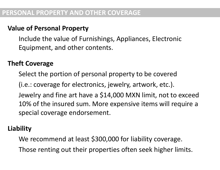#### Value of Personal Property

Include the value of Furnishings, Appliances, Electronic Equipment, and other contents.

#### Theft Coverage

Select the portion of personal property to be covered (i.e.: coverage for electronics, jewelry, artwork, etc.). Jewelry and fine art have a \$14,000 MXN limit, not to exceed 10% of the insured sum. More expensive items will require a special coverage endorsement.

#### Liability

We recommend at least \$300,000 for liability coverage. Those renting out their properties often seek higher limits.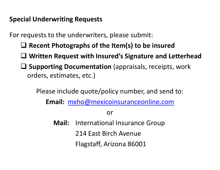#### Special Underwriting Requests

For requests to the underwriters, please submit:

- $\Box$  Recent Photographs of the Item(s) to be insured
- Written Request with Insured's Signature and Letterhead
- $\square$  Supporting Documentation (appraisals, receipts, work orders, estimates, etc.)

Please include quote/policy number, and send to:

Email: mxho@mexicoinsuranceonline.com

or

Mail: International Insurance Group 214 East Birch Avenue Flagstaff, Arizona 86001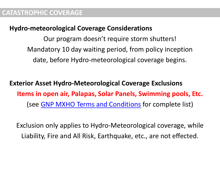#### Hydro-meteorological Coverage Considerations

Our program doesn't require storm shutters! Mandatory 10 day waiting period, from policy inception date, before Hydro-meteorological coverage begins.

Exterior Asset Hydro-Meteorological Coverage Exclusions Items in open air, Palapas, Solar Panels, Swimming pools, Etc. (see GNP MXHO Terms and Conditions for complete list)

Exclusion only applies to Hydro-Meteorological coverage, while Liability, Fire and All Risk, Earthquake, etc., are not effected.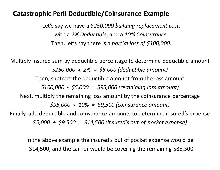#### Catastrophic Peril Deductible/Coinsurance Example

Let's say we have a \$250,000 building replacement cost, with a 2% Deductible, and a 10% Coinsurance.<br>Then, let's say there is a partial loss of \$100,000:

Multiply insured sum by deductible percentage to determine deductible amount  $$250,000 \times 2\% = $5,000$  (deductible amount) Then, subtract the deductible amount from the loss amount Let's say we have a \$250,000 building replacement cost,<br>with a 2% Deductible, and a 10% Coinsurance.<br>Then, let's say there is a partial loss of \$100,000:<br>ured sum by deductible percentage to determine deductible amount<br>\$2 Next, multiply the remaining loss amount by the coinsurance percentage  $$95,000 \times 10\% = $9,500$  (coinsurance amount) Finally, add deductible and coinsurance amounts to determine insured's expense  $$5,000 + $9,500 = $14,500$  (insured's out-of-pocket expense)

In the above example the insured's out of pocket expense would be \$14,500, and the carrier would be covering the remaining \$85,500.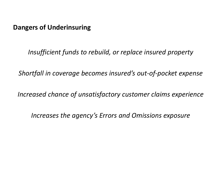#### Dangers of Underinsuring

Insufficient funds to rebuild, or replace insured property

Shortfall in coverage becomes insured's out-of-pocket expense

Increased chance of unsatisfactory customer claims experience

Increases the agency's Errors and Omissions exposure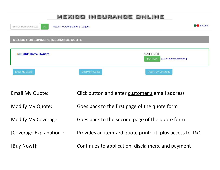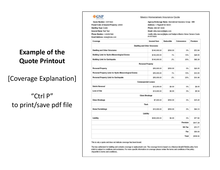#### Example of the Quote Printout

[Coverage Explanation]

"Ctrl P" to print/save pdf file

|                                                         | Mexico Homeowners Insurance Quote                              |            |               |          |
|---------------------------------------------------------|----------------------------------------------------------------|------------|---------------|----------|
| Quote Number: 10573920                                  | Agency/Brokerage Name: International Insurance Group - MM      |            |               |          |
| Postal Code of Insured Property: 23900                  | Address: 1 Flagstaff AZ 86001                                  |            |               |          |
| Dwelling Type Condo                                     | Phone: 888-467-4639                                            |            |               |          |
| <b>Insured Name Test Test</b>                           | Email: mike.mercer@iigins.com                                  |            |               |          |
| Phone Number: 1234567890                                | (mailto:mike.mercer@igins.com?subject=Mexico Home Owners Quote |            |               |          |
| Email Address: none@none.com                            | #10573920)                                                     |            |               |          |
| Coverage                                                | <b>Insured Sum</b>                                             | Deductible | Coinsurance   | Premium  |
|                                                         | <b>Dwelling and Other Structures</b>                           |            |               |          |
| <b>Dwelling and Other Structures</b>                    | \$140,000.00                                                   | \$500.00   | O%            | \$72.94  |
| <b>Building Limit for Hydro-Meteorological Events</b>   | \$140,000.00                                                   | 1%         | 10%           | \$28.00  |
| <b>Building Limit for Earthquake</b>                    | \$140,000.00                                                   | 2%         | 20%           | \$92.29  |
|                                                         | <b>Personal Property</b>                                       |            |               |          |
| <b>Personal Property</b>                                | \$50,000.00                                                    | \$500.00   | O%            | \$26.05  |
| Personal Property Limit for Hydro Meteorological Events | \$50,000.00                                                    | 1%         | 10%           | \$10.00  |
| Personal Property Limit for Earthquake                  | \$50,000.00                                                    | 2%         | 20%           | \$16.48  |
|                                                         | <b>Consequential Losses</b>                                    |            |               |          |
| <b>Debris Removal</b>                                   | \$13,000.00                                                    | \$0.00     | O%            | \$9.05   |
| Loss of Use                                             | \$13,000.00                                                    | \$0.00     | 0%            | \$5.34   |
|                                                         | Glass Breakage                                                 |            |               |          |
| Glass Breakage                                          | \$7,000.00                                                     | \$500.00   | 0%            | \$15.25  |
|                                                         | Theft                                                          |            |               |          |
| <b>Home Furnishings</b>                                 | \$10,000.00                                                    | \$500.00   | 0%            | \$64.10  |
|                                                         | Liability                                                      |            |               |          |
| Liability                                               | \$300,000.00                                                   | \$0.00     | 0%            | \$77.80  |
|                                                         |                                                                |            | Premium       | \$417.29 |
|                                                         |                                                                |            | <b>NA Tax</b> | \$70.77  |
|                                                         |                                                                |            | Fee           | \$50.00  |
|                                                         |                                                                |            | Total         | \$538.06 |

This is only a quote and does not indicate coverage has been bound.

The loss settlement for building and contents coverage is replacement cost. The coverage form is based on a Mexican âeceAll Riskåe policy form which is subject to conditions and exclusions. For more specific information on coverage please review the terms and conditions of the policy. (Hyperlink to terms and conditions).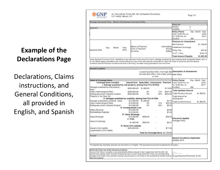# Example of the suance Date Day

Declarations, Claims instructions, and General Conditions, all provided in English, and Spanish

Av. Cerro de las Torres 395, Col. Campestre Churubusco C.P. 04200, México, D.F. Damage Insurance Policy - Mexico Homeowners Insurance Policy Policy No Version  $\Omega$ Applicant ocation **Policy Period** Day Month Year From 12:00 Hrs. on 2016 To 12:00 Hrs. on 2017 Duration **Premium for Amendment** Net Premium \$1,166.85 Means of Payment Intermediary Installment Surcharge Year Month Form of Payment Annual 2016 Policy Fee \$25.00 **Dollars** Currency V.A.T. (16%) \$190.70 **Total Amount Payable** \$1,382.55

Declarations with the General<br>Conditions and the Particular Conditions set forth in the Policy, the latter having precedence over the former.

| <b>Insured Location</b>                                                                                                                                                                                                                                                    |                                            |                                                   |                                     |                                                      |                                                                 |                |
|----------------------------------------------------------------------------------------------------------------------------------------------------------------------------------------------------------------------------------------------------------------------------|--------------------------------------------|---------------------------------------------------|-------------------------------------|------------------------------------------------------|-----------------------------------------------------------------|----------------|
|                                                                                                                                                                                                                                                                            |                                            | and less than 250m. from a lake, pond, New Policy | or river.                           |                                                      | Located less than 500m. from high tide Description of Amendment |                |
| <b>Detail of Coverage Items</b>                                                                                                                                                                                                                                            |                                            |                                                   |                                     |                                                      | <b>Policy Period</b>                                            | Day Month Year |
| Coverage Items included<br>I. Damage sustained by real property, arising from Fire All Risk.                                                                                                                                                                               | Insured Sum Deductible Coinsurance Premium |                                                   |                                     |                                                      | From 12:00 Hrs. on<br>To 12:00 Hrs. on                          | 2016<br>2017   |
| Damage sustained by real property -                                                                                                                                                                                                                                        | \$250,000,00 \$1,000.00                    |                                                   |                                     |                                                      | \$119.65 Duration<br>366                                        |                |
| basic                                                                                                                                                                                                                                                                      |                                            |                                                   |                                     |                                                      | <b>Total Updated Amount</b>                                     |                |
| Hydro meteorological Risks                                                                                                                                                                                                                                                 | \$250,000.00                               | 2%                                                | 10%                                 | \$637.50                                             |                                                                 |                |
| Earthquake and/or Volcanic Eruption                                                                                                                                                                                                                                        | \$250,000.00                               | 2%                                                | 20%                                 | \$250.00                                             | <b>Total Previous Amount</b>                                    | \$1,382.55     |
| Property In the Open Air                                                                                                                                                                                                                                                   |                                            |                                                   |                                     |                                                      | <b>Total Amount for</b>                                         |                |
| II. Damages sustained by contents, arising from Fire All Risk                                                                                                                                                                                                              |                                            |                                                   |                                     |                                                      | Amendment                                                       |                |
| Damage sustained by contents - basic                                                                                                                                                                                                                                       | \$10,000.00                                | \$1,000.00                                        |                                     | \$4.79                                               | <b>Total Current Amount</b>                                     | \$1,382.55     |
| Hydro meteorological Risks                                                                                                                                                                                                                                                 | \$10,000.00                                | 2%                                                | 10%                                 | \$25.50                                              |                                                                 |                |
| Earthquake and/or Volcanic Eruption                                                                                                                                                                                                                                        | \$10,000.00                                | 2%                                                | 20%                                 | \$5.00                                               |                                                                 |                |
|                                                                                                                                                                                                                                                                            | III. Consequential Loss                    |                                                   |                                     |                                                      |                                                                 |                |
| Debris Removal                                                                                                                                                                                                                                                             | \$10,000.00                                |                                                   |                                     | \$6.96                                               |                                                                 |                |
| <b>Extraordinary Exponso</b>                                                                                                                                                                                                                                               | \$12,000.00                                |                                                   |                                     | \$4.93                                               |                                                                 |                |
|                                                                                                                                                                                                                                                                            | IV. Glass Breakage                         |                                                   |                                     |                                                      |                                                                 |                |
| Glass Breakage                                                                                                                                                                                                                                                             | \$13,000.00                                | \$500.00                                          |                                     | \$28.32                                              | <b>Discounts Applied</b>                                        |                |
|                                                                                                                                                                                                                                                                            | V. Theft                                   |                                                   |                                     |                                                      | Package Policy                                                  |                |
| Home Furnishings                                                                                                                                                                                                                                                           | \$1,000.00                                 | \$500.00                                          |                                     | \$6.41                                               |                                                                 |                |
|                                                                                                                                                                                                                                                                            | VI. Home Civil Liability                   |                                                   |                                     |                                                      |                                                                 |                |
| Owner's Civil Liability                                                                                                                                                                                                                                                    | \$300,000.00                               |                                                   |                                     | \$77.80                                              |                                                                 |                |
| Leaseholder's Civil Liability                                                                                                                                                                                                                                              |                                            |                                                   | Total for Coverage Items \$1,166.85 |                                                      |                                                                 |                |
| Insured                                                                                                                                                                                                                                                                    |                                            |                                                   |                                     |                                                      |                                                                 |                |
|                                                                                                                                                                                                                                                                            |                                            |                                                   |                                     | <b>General Conditions Applicable</b><br>October 2015 |                                                                 |                |
| The Spanish documentation prevails over that which is in English. This document is not proof of payment for the policy.                                                                                                                                                    |                                            |                                                   |                                     |                                                      |                                                                 |                |
| Article 25 of the Law of the Insurance Contract.<br>It any of this Policy's contents or any amendments thereto should not be in agreement with the offer, the<br>Insured may request, within 30 days following the day on which they receive the Policy, the corresponding |                                            |                                                   |                                     |                                                      |                                                                 |                |

deemed accepted.

Page 1/2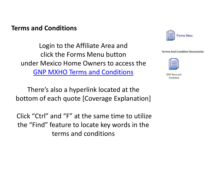#### Terms and Conditions

Login to the Affiliate Area and click the Forms Menu button under Mexico Home Owners to access the GNP MXHO Terms and Conditions

There's also a hyperlink located at the bottom of each quote [Coverage Explanation]

Click "Ctrl" and "F" at the same time to utilize the "Find" feature to locate key words in the terms and conditions



|  | <b>Terms And Condition Documents</b> |
|--|--------------------------------------|